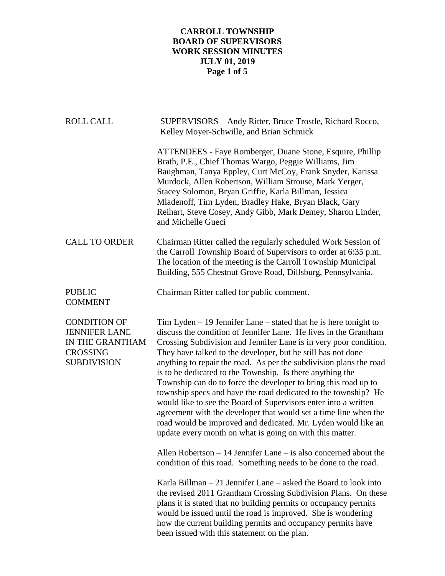# **CARROLL TOWNSHIP BOARD OF SUPERVISORS WORK SESSION MINUTES JULY 01, 2019 Page 1 of 5**

| <b>ROLL CALL</b>                                                                                        | SUPERVISORS - Andy Ritter, Bruce Trostle, Richard Rocco,<br>Kelley Moyer-Schwille, and Brian Schmick                                                                                                                                                                                                                                                                                                                                                                                                                                                                                                                                                                                                                                                                                                                     |
|---------------------------------------------------------------------------------------------------------|--------------------------------------------------------------------------------------------------------------------------------------------------------------------------------------------------------------------------------------------------------------------------------------------------------------------------------------------------------------------------------------------------------------------------------------------------------------------------------------------------------------------------------------------------------------------------------------------------------------------------------------------------------------------------------------------------------------------------------------------------------------------------------------------------------------------------|
|                                                                                                         | ATTENDEES - Faye Romberger, Duane Stone, Esquire, Phillip<br>Brath, P.E., Chief Thomas Wargo, Peggie Williams, Jim<br>Baughman, Tanya Eppley, Curt McCoy, Frank Snyder, Karissa<br>Murdock, Allen Robertson, William Strouse, Mark Yerger,<br>Stacey Solomon, Bryan Griffie, Karla Billman, Jessica<br>Mladenoff, Tim Lyden, Bradley Hake, Bryan Black, Gary<br>Reihart, Steve Cosey, Andy Gibb, Mark Demey, Sharon Linder,<br>and Michelle Gueci                                                                                                                                                                                                                                                                                                                                                                        |
| <b>CALL TO ORDER</b>                                                                                    | Chairman Ritter called the regularly scheduled Work Session of<br>the Carroll Township Board of Supervisors to order at 6:35 p.m.<br>The location of the meeting is the Carroll Township Municipal<br>Building, 555 Chestnut Grove Road, Dillsburg, Pennsylvania.                                                                                                                                                                                                                                                                                                                                                                                                                                                                                                                                                        |
| <b>PUBLIC</b><br><b>COMMENT</b>                                                                         | Chairman Ritter called for public comment.                                                                                                                                                                                                                                                                                                                                                                                                                                                                                                                                                                                                                                                                                                                                                                               |
| <b>CONDITION OF</b><br><b>JENNIFER LANE</b><br>IN THE GRANTHAM<br><b>CROSSING</b><br><b>SUBDIVISION</b> | Tim Lyden $-19$ Jennifer Lane $-$ stated that he is here tonight to<br>discuss the condition of Jennifer Lane. He lives in the Grantham<br>Crossing Subdivision and Jennifer Lane is in very poor condition.<br>They have talked to the developer, but he still has not done<br>anything to repair the road. As per the subdivision plans the road<br>is to be dedicated to the Township. Is there anything the<br>Township can do to force the developer to bring this road up to<br>township specs and have the road dedicated to the township? He<br>would like to see the Board of Supervisors enter into a written<br>agreement with the developer that would set a time line when the<br>road would be improved and dedicated. Mr. Lyden would like an<br>update every month on what is going on with this matter. |
|                                                                                                         | Allen Robertson $-14$ Jennifer Lane $-$ is also concerned about the<br>condition of this road. Something needs to be done to the road.                                                                                                                                                                                                                                                                                                                                                                                                                                                                                                                                                                                                                                                                                   |
|                                                                                                         | Karla Billman $-21$ Jennifer Lane $-$ asked the Board to look into<br>the revised 2011 Grantham Crossing Subdivision Plans. On these<br>plans it is stated that no building permits or occupancy permits<br>would be issued until the road is improved. She is wondering<br>how the current building permits and occupancy permits have<br>been issued with this statement on the plan.                                                                                                                                                                                                                                                                                                                                                                                                                                  |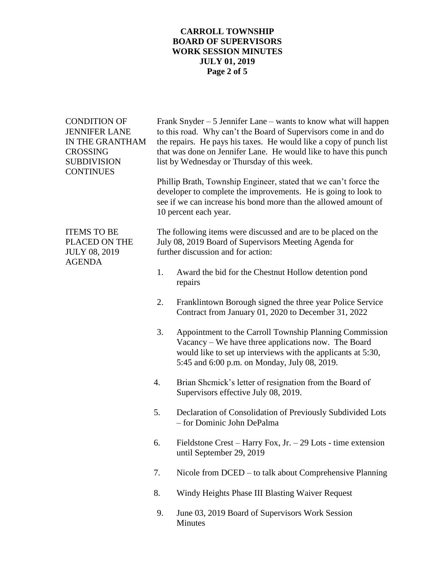# **CARROLL TOWNSHIP BOARD OF SUPERVISORS WORK SESSION MINUTES JULY 01, 2019 Page 2 of 5**

| <b>CONDITION OF</b><br><b>JENNIFER LANE</b><br>IN THE GRANTHAM<br><b>CROSSING</b><br><b>SUBDIVISION</b><br><b>CONTINUES</b> |    | Frank Snyder $-5$ Jennifer Lane $-$ wants to know what will happen<br>to this road. Why can't the Board of Supervisors come in and do<br>the repairs. He pays his taxes. He would like a copy of punch list<br>that was done on Jennifer Lane. He would like to have this punch<br>list by Wednesday or Thursday of this week.<br>Phillip Brath, Township Engineer, stated that we can't force the<br>developer to complete the improvements. He is going to look to<br>see if we can increase his bond more than the allowed amount of<br>10 percent each year. |
|-----------------------------------------------------------------------------------------------------------------------------|----|------------------------------------------------------------------------------------------------------------------------------------------------------------------------------------------------------------------------------------------------------------------------------------------------------------------------------------------------------------------------------------------------------------------------------------------------------------------------------------------------------------------------------------------------------------------|
| <b>ITEMS TO BE</b><br>PLACED ON THE<br><b>JULY 08, 2019</b><br><b>AGENDA</b>                                                |    | The following items were discussed and are to be placed on the<br>July 08, 2019 Board of Supervisors Meeting Agenda for<br>further discussion and for action:                                                                                                                                                                                                                                                                                                                                                                                                    |
|                                                                                                                             | 1. | Award the bid for the Chestnut Hollow detention pond<br>repairs                                                                                                                                                                                                                                                                                                                                                                                                                                                                                                  |
|                                                                                                                             | 2. | Franklintown Borough signed the three year Police Service<br>Contract from January 01, 2020 to December 31, 2022                                                                                                                                                                                                                                                                                                                                                                                                                                                 |
|                                                                                                                             | 3. | Appointment to the Carroll Township Planning Commission<br>Vacancy - We have three applications now. The Board<br>would like to set up interviews with the applicants at 5:30,<br>5:45 and 6:00 p.m. on Monday, July 08, 2019.                                                                                                                                                                                                                                                                                                                                   |
|                                                                                                                             | 4. | Brian Shemick's letter of resignation from the Board of<br>Supervisors effective July 08, 2019.                                                                                                                                                                                                                                                                                                                                                                                                                                                                  |
|                                                                                                                             | 5. | Declaration of Consolidation of Previously Subdivided Lots<br>- for Dominic John DePalma                                                                                                                                                                                                                                                                                                                                                                                                                                                                         |
|                                                                                                                             | 6. | Fieldstone Crest – Harry Fox, Jr. $-29$ Lots - time extension<br>until September 29, 2019                                                                                                                                                                                                                                                                                                                                                                                                                                                                        |
|                                                                                                                             | 7. | Nicole from DCED – to talk about Comprehensive Planning                                                                                                                                                                                                                                                                                                                                                                                                                                                                                                          |
|                                                                                                                             | 8. | Windy Heights Phase III Blasting Waiver Request                                                                                                                                                                                                                                                                                                                                                                                                                                                                                                                  |
|                                                                                                                             | 9. | June 03, 2019 Board of Supervisors Work Session<br>Minutes                                                                                                                                                                                                                                                                                                                                                                                                                                                                                                       |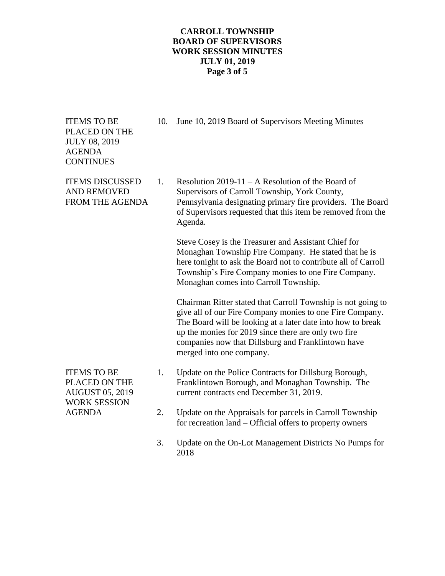# **CARROLL TOWNSHIP BOARD OF SUPERVISORS WORK SESSION MINUTES JULY 01, 2019 Page 3 of 5**

PLACED ON THE JULY 08, 2019 AGENDA **CONTINUES** 

ITEMS TO BE 10. June 10, 2019 Board of Supervisors Meeting Minutes

ITEMS DISCUSSED 1. Resolution  $2019-11 - A$  Resolution of the Board of AND REMOVED Supervisors of Carroll Township, York County, FROM THE AGENDA Pennsylvania designating primary fire providers. The Board of Supervisors requested that this item be removed from the Agenda.

> Steve Cosey is the Treasurer and Assistant Chief for Monaghan Township Fire Company. He stated that he is here tonight to ask the Board not to contribute all of Carroll Township's Fire Company monies to one Fire Company. Monaghan comes into Carroll Township.

Chairman Ritter stated that Carroll Township is not going to give all of our Fire Company monies to one Fire Company. The Board will be looking at a later date into how to break up the monies for 2019 since there are only two fire companies now that Dillsburg and Franklintown have merged into one company.

- WORK SESSION
- ITEMS TO BE 1. Update on the Police Contracts for Dillsburg Borough, PLACED ON THE Franklintown Borough, and Monaghan Township. The AUGUST 05, 2019 current contracts end December 31, 2019.
- AGENDA 2. Update on the Appraisals for parcels in Carroll Township for recreation land – Official offers to property owners
	- 3. Update on the On-Lot Management Districts No Pumps for 2018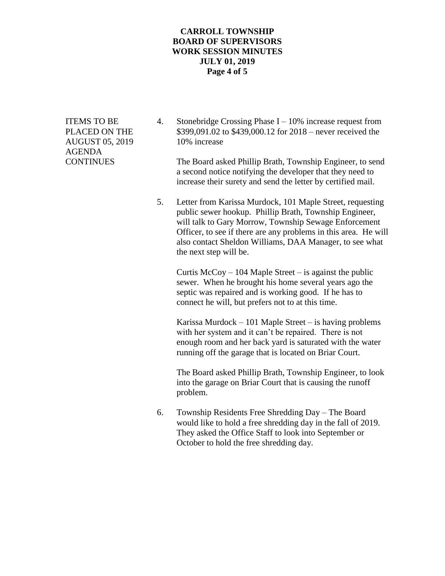#### **CARROLL TOWNSHIP BOARD OF SUPERVISORS WORK SESSION MINUTES JULY 01, 2019 Page 4 of 5**

AUGUST 05, 2019 10% increase AGENDA

ITEMS TO BE  $\qquad 4.$  Stonebridge Crossing Phase I – 10% increase request from PLACED ON THE \$399,091.02 to \$439,000.12 for 2018 – never received the

CONTINUES The Board asked Phillip Brath, Township Engineer, to send a second notice notifying the developer that they need to increase their surety and send the letter by certified mail.

> 5. Letter from Karissa Murdock, 101 Maple Street, requesting public sewer hookup. Phillip Brath, Township Engineer, will talk to Gary Morrow, Township Sewage Enforcement Officer, to see if there are any problems in this area. He will also contact Sheldon Williams, DAA Manager, to see what the next step will be.

Curtis  $McCoy - 104$  Maple Street – is against the public sewer. When he brought his home several years ago the septic was repaired and is working good. If he has to connect he will, but prefers not to at this time.

Karissa Murdock – 101 Maple Street – is having problems with her system and it can't be repaired. There is not enough room and her back yard is saturated with the water running off the garage that is located on Briar Court.

The Board asked Phillip Brath, Township Engineer, to look into the garage on Briar Court that is causing the runoff problem.

6. Township Residents Free Shredding Day – The Board would like to hold a free shredding day in the fall of 2019. They asked the Office Staff to look into September or October to hold the free shredding day.